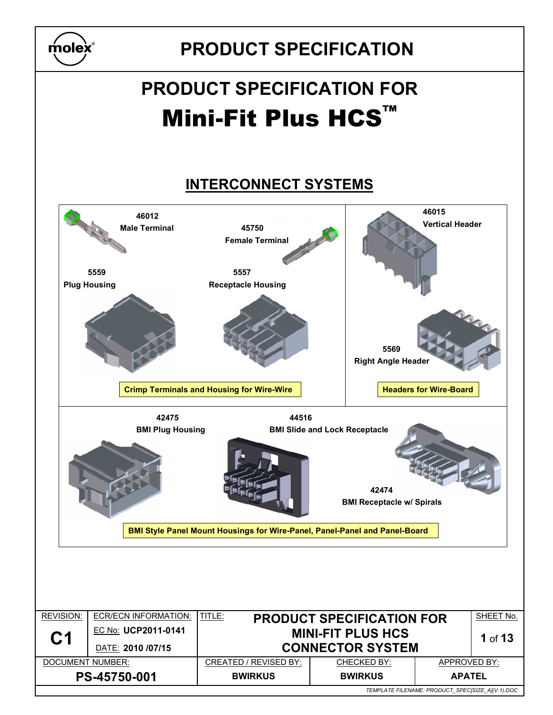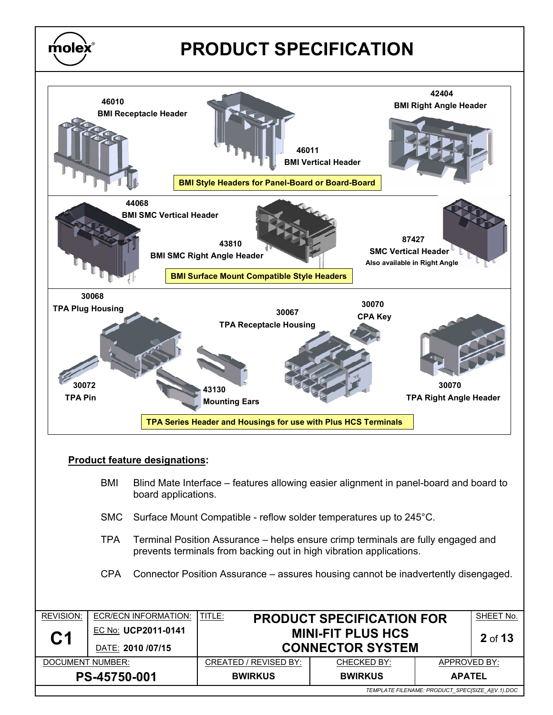



#### Product feature designations:

 $\overline{\textbf{m}}$ olex $\overline{\textbf{x}}$ 

- BMI Blind Mate Interface features allowing easier alignment in panel-board and board to board applications.
- SMC Surface Mount Compatible reflow solder temperatures up to 245°C.
- TPA Terminal Position Assurance helps ensure crimp terminals are fully engaged and prevents terminals from backing out in high vibration applications.
- CPA Connector Position Assurance assures housing cannot be inadvertently disengaged.

| <b>REVISION:</b> | ECR/ECN INFORMATION: | TITLE:<br><b>PRODUCT SPECIFICATION FOR</b> |                                     | SHEET No.                                        |  |  |  |
|------------------|----------------------|--------------------------------------------|-------------------------------------|--------------------------------------------------|--|--|--|
|                  | EC No: UCP2011-0141  |                                            | <b>MINI-FIT PLUS HCS</b><br>2 of 13 |                                                  |  |  |  |
| C <sub>1</sub>   | DATE: 2010 /07/15    |                                            | <b>CONNECTOR SYSTEM</b>             |                                                  |  |  |  |
| DOCUMENT NUMBER: |                      | CREATED / REVISED BY:                      | CHECKED BY:                         | APPROVED BY:                                     |  |  |  |
| PS-45750-001     |                      | <b>BWIRKUS</b>                             | <b>BWIRKUS</b>                      | <b>APATEL</b>                                    |  |  |  |
|                  |                      |                                            |                                     | TEMPLATE FILENAME: PRODUCT SPECISIZE A1(V.1).DOC |  |  |  |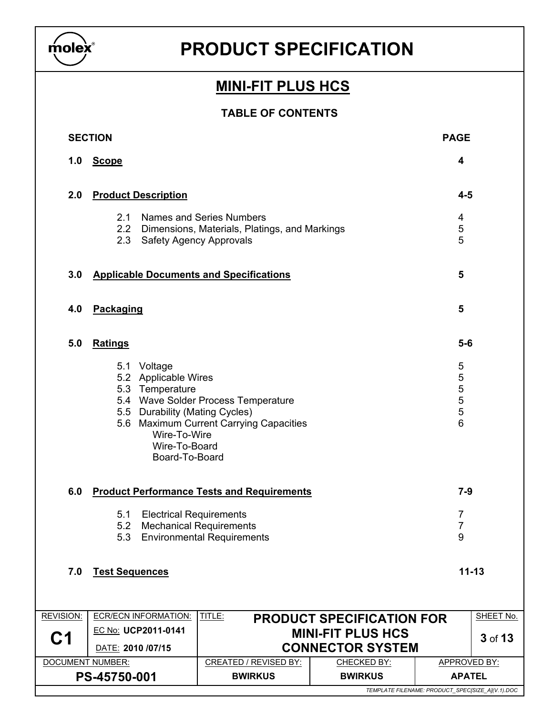

### **MINI-FIT PLUS HCS**

### TABLE OF CONTENTS

|                  | <b>SECTION</b>        |                                                                                                                                             |                                                                                                             |                                  | <b>PAGE</b>                           |           |
|------------------|-----------------------|---------------------------------------------------------------------------------------------------------------------------------------------|-------------------------------------------------------------------------------------------------------------|----------------------------------|---------------------------------------|-----------|
| 1.0              | <b>Scope</b>          |                                                                                                                                             |                                                                                                             |                                  | 4                                     |           |
| 2.0              |                       | <b>Product Description</b>                                                                                                                  |                                                                                                             |                                  |                                       |           |
|                  | 2.1<br>2.2<br>2.3     |                                                                                                                                             | Names and Series Numbers<br>Dimensions, Materials, Platings, and Markings<br><b>Safety Agency Approvals</b> |                                  | 4<br>$\,$ 5 $\,$<br>5                 |           |
| 3.0              |                       |                                                                                                                                             | <b>Applicable Documents and Specifications</b>                                                              |                                  | 5                                     |           |
| 4.0              | Packaging             |                                                                                                                                             |                                                                                                             |                                  | 5                                     |           |
| 5.0              | <b>Ratings</b>        |                                                                                                                                             |                                                                                                             |                                  | $5-6$                                 |           |
|                  |                       | 5.1 Voltage<br>5.2 Applicable Wires<br>5.3 Temperature<br>5.5 Durability (Mating Cycles)<br>Wire-To-Wire<br>Wire-To-Board<br>Board-To-Board | 5.4 Wave Solder Process Temperature<br>5.6 Maximum Current Carrying Capacities                              |                                  | 5<br>5<br>$\frac{5}{5}$<br>5<br>6     |           |
| 6.0              |                       |                                                                                                                                             | <b>Product Performance Tests and Requirements</b>                                                           |                                  | $7-9$                                 |           |
|                  | 5.1                   | <b>Electrical Requirements</b><br>5.2 Mechanical Requirements                                                                               | 5.3 Environmental Requirements                                                                              |                                  | $\overline{7}$<br>$\overline{7}$<br>9 |           |
| 7.0              | <b>Test Sequences</b> |                                                                                                                                             |                                                                                                             |                                  | $11 - 13$                             |           |
| <b>REVISION:</b> |                       | <b>ECR/ECN INFORMATION:</b>                                                                                                                 | TITLE:                                                                                                      | <b>PRODUCT SPECIFICATION FOR</b> |                                       | SHEET No. |
| C <sub>1</sub>   |                       | EC No: UCP2011-0141                                                                                                                         |                                                                                                             | <b>MINI-FIT PLUS HCS</b>         |                                       | 3 of 13   |
|                  | DATE: 2010 /07/15     |                                                                                                                                             |                                                                                                             | <b>CONNECTOR SYSTEM</b>          |                                       |           |
|                  | DOCUMENT NUMBER:      |                                                                                                                                             | <b>CREATED / REVISED BY:</b>                                                                                | CHECKED BY:                      | <b>APPROVED BY:</b>                   |           |
| PS-45750-001     |                       |                                                                                                                                             | <b>BWIRKUS</b>                                                                                              | <b>BWIRKUS</b>                   | <b>APATEL</b>                         |           |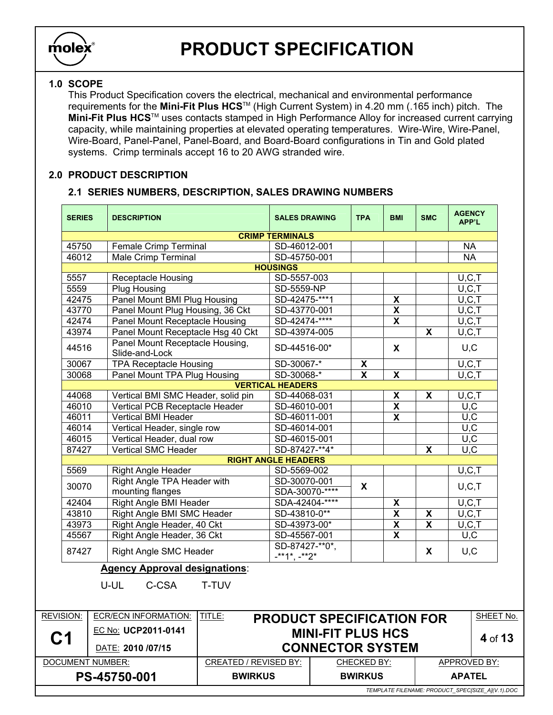

### 1.0 SCOPE

This Product Specification covers the electrical, mechanical and environmental performance requirements for the Mini-Fit Plus HCSTM (High Current System) in 4.20 mm (.165 inch) pitch. The Mini-Fit Plus HCS™ uses contacts stamped in High Performance Alloy for increased current carrying capacity, while maintaining properties at elevated operating temperatures. Wire-Wire, Wire-Panel, Wire-Board, Panel-Panel, Panel-Board, and Board-Board configurations in Tin and Gold plated systems. Crimp terminals accept 16 to 20 AWG stranded wire.

#### 2.0 PRODUCT DESCRIPTION

### 2.1 SERIES NUMBERS, DESCRIPTION, SALES DRAWING NUMBERS

| <b>CRIMP TERMINALS</b><br>45750<br>Female Crimp Terminal<br><b>NA</b><br>SD-46012-001<br><b>NA</b><br>46012<br><b>Male Crimp Terminal</b><br>SD-45750-001<br><b>HOUSINGS</b><br>SD-5557-003<br>5557<br><b>Receptacle Housing</b><br>U, C, T<br>U, C, T<br>5559<br><b>Plug Housing</b><br>SD-5559-NP<br>Panel Mount BMI Plug Housing<br>SD-42475-***1<br>$U, \overline{C, T}$<br>42475<br>$\overline{\mathbf{X}}$<br>43770<br>SD-43770-001<br>$\overline{\mathbf{X}}$<br>U, C, T<br>Panel Mount Plug Housing, 36 Ckt<br>SD-42474-****<br>42474<br>Panel Mount Receptacle Housing<br>$\pmb{\mathsf{X}}$<br>U, C, T<br>43974<br>$\overline{\mathbf{x}}$<br>U, C, T<br>Panel Mount Receptacle Hsg 40 Ckt<br>SD-43974-005<br>Panel Mount Receptacle Housing,<br>44516<br>SD-44516-00*<br>X<br>U, C<br>Slide-and-Lock<br><b>TPA Receptacle Housing</b><br>$\overline{\mathbf{X}}$<br>U, C, T<br>30067<br>SD-30067-*<br>$\overline{\mathbf{x}}$<br>Panel Mount TPA Plug Housing<br>SD-30068-*<br>$\overline{\mathbf{x}}$<br>U.C.T<br>30068<br><b>VERTICAL HEADERS</b><br>$\pmb{\mathsf{X}}$<br>44068<br>Vertical BMI SMC Header, solid pin<br>$\boldsymbol{\mathsf{X}}$<br>U, C, T<br>SD-44068-031<br>$\overline{\mathbf{X}}$<br>$\overline{U.C}$<br>46010<br>Vertical PCB Receptacle Header<br>SD-46010-001<br>$\overline{\mathbf{X}}$<br>U, C<br>46011<br>Vertical BMI Header<br>SD-46011-001<br>46014<br>U, C<br>Vertical Header, single row<br>SD-46014-001<br>46015<br>Vertical Header, dual row<br>SD-46015-001<br>U, C<br>$\overline{U.C}$<br>87427<br><b>Vertical SMC Header</b><br>SD-87427-**4*<br>$\boldsymbol{\mathsf{x}}$<br><b>RIGHT ANGLE HEADERS</b><br>5569<br>U, C, T<br>SD-5569-002<br><b>Right Angle Header</b><br>Right Angle TPA Header with<br>SD-30070-001<br>30070<br>X<br>U, C, T<br>mounting flanges<br>SDA-30070-****<br>SDA-42404-****<br>Right Angle BMI Header<br>U, C, T<br>42404<br>X<br>43810<br>Right Angle BMI SMC Header<br>SD-43810-0**<br>$\pmb{\mathsf{X}}$<br>U, C, T<br>X<br>$\overline{\mathbf{X}}$<br>$\overline{\mathbf{x}}$<br>43973<br>Right Angle Header, 40 Ckt<br>SD-43973-00*<br>U, C, T<br>$\overline{\mathbf{x}}$<br>Right Angle Header, 36 Ckt<br>U, C<br>45567<br>SD-45567-001<br>SD-87427-**0*.<br>U, C<br>87427<br>Right Angle SMC Header<br>X<br>$-**1*, -**2*$<br><b>Agency Approval designations:</b><br>U-UL<br>C-CSA<br>T-TUV<br>TITLE:<br><b>REVISION:</b><br><b>ECR/ECN INFORMATION:</b><br><b>PRODUCT SPECIFICATION FOR</b><br>EC No: UCP2011-0141<br><b>MINI-FIT PLUS HCS</b><br>C1<br><b>CONNECTOR SYSTEM</b><br>DATE: 2010 /07/15<br>APPROVED BY:<br><b>DOCUMENT NUMBER:</b><br><b>CREATED / REVISED BY:</b><br>CHECKED BY: | <b>SERIES</b> | <b>DESCRIPTION</b> | <b>SALES DRAWING</b> |  | <b>TPA</b> | <b>BMI</b> | <b>SMC</b> | <b>AGENCY</b><br><b>APP'L</b> |           |
|------------------------------------------------------------------------------------------------------------------------------------------------------------------------------------------------------------------------------------------------------------------------------------------------------------------------------------------------------------------------------------------------------------------------------------------------------------------------------------------------------------------------------------------------------------------------------------------------------------------------------------------------------------------------------------------------------------------------------------------------------------------------------------------------------------------------------------------------------------------------------------------------------------------------------------------------------------------------------------------------------------------------------------------------------------------------------------------------------------------------------------------------------------------------------------------------------------------------------------------------------------------------------------------------------------------------------------------------------------------------------------------------------------------------------------------------------------------------------------------------------------------------------------------------------------------------------------------------------------------------------------------------------------------------------------------------------------------------------------------------------------------------------------------------------------------------------------------------------------------------------------------------------------------------------------------------------------------------------------------------------------------------------------------------------------------------------------------------------------------------------------------------------------------------------------------------------------------------------------------------------------------------------------------------------------------------------------------------------------------------------------------------------------------------------------------------------------------------------------------------------------------------------------------------------------------------------------------------------------------------------------------------------------------------------------------|---------------|--------------------|----------------------|--|------------|------------|------------|-------------------------------|-----------|
|                                                                                                                                                                                                                                                                                                                                                                                                                                                                                                                                                                                                                                                                                                                                                                                                                                                                                                                                                                                                                                                                                                                                                                                                                                                                                                                                                                                                                                                                                                                                                                                                                                                                                                                                                                                                                                                                                                                                                                                                                                                                                                                                                                                                                                                                                                                                                                                                                                                                                                                                                                                                                                                                                          |               |                    |                      |  |            |            |            |                               |           |
|                                                                                                                                                                                                                                                                                                                                                                                                                                                                                                                                                                                                                                                                                                                                                                                                                                                                                                                                                                                                                                                                                                                                                                                                                                                                                                                                                                                                                                                                                                                                                                                                                                                                                                                                                                                                                                                                                                                                                                                                                                                                                                                                                                                                                                                                                                                                                                                                                                                                                                                                                                                                                                                                                          |               |                    |                      |  |            |            |            |                               |           |
|                                                                                                                                                                                                                                                                                                                                                                                                                                                                                                                                                                                                                                                                                                                                                                                                                                                                                                                                                                                                                                                                                                                                                                                                                                                                                                                                                                                                                                                                                                                                                                                                                                                                                                                                                                                                                                                                                                                                                                                                                                                                                                                                                                                                                                                                                                                                                                                                                                                                                                                                                                                                                                                                                          |               |                    |                      |  |            |            |            |                               |           |
|                                                                                                                                                                                                                                                                                                                                                                                                                                                                                                                                                                                                                                                                                                                                                                                                                                                                                                                                                                                                                                                                                                                                                                                                                                                                                                                                                                                                                                                                                                                                                                                                                                                                                                                                                                                                                                                                                                                                                                                                                                                                                                                                                                                                                                                                                                                                                                                                                                                                                                                                                                                                                                                                                          |               |                    |                      |  |            |            |            |                               |           |
|                                                                                                                                                                                                                                                                                                                                                                                                                                                                                                                                                                                                                                                                                                                                                                                                                                                                                                                                                                                                                                                                                                                                                                                                                                                                                                                                                                                                                                                                                                                                                                                                                                                                                                                                                                                                                                                                                                                                                                                                                                                                                                                                                                                                                                                                                                                                                                                                                                                                                                                                                                                                                                                                                          |               |                    |                      |  |            |            |            |                               |           |
|                                                                                                                                                                                                                                                                                                                                                                                                                                                                                                                                                                                                                                                                                                                                                                                                                                                                                                                                                                                                                                                                                                                                                                                                                                                                                                                                                                                                                                                                                                                                                                                                                                                                                                                                                                                                                                                                                                                                                                                                                                                                                                                                                                                                                                                                                                                                                                                                                                                                                                                                                                                                                                                                                          |               |                    |                      |  |            |            |            |                               |           |
|                                                                                                                                                                                                                                                                                                                                                                                                                                                                                                                                                                                                                                                                                                                                                                                                                                                                                                                                                                                                                                                                                                                                                                                                                                                                                                                                                                                                                                                                                                                                                                                                                                                                                                                                                                                                                                                                                                                                                                                                                                                                                                                                                                                                                                                                                                                                                                                                                                                                                                                                                                                                                                                                                          |               |                    |                      |  |            |            |            |                               |           |
|                                                                                                                                                                                                                                                                                                                                                                                                                                                                                                                                                                                                                                                                                                                                                                                                                                                                                                                                                                                                                                                                                                                                                                                                                                                                                                                                                                                                                                                                                                                                                                                                                                                                                                                                                                                                                                                                                                                                                                                                                                                                                                                                                                                                                                                                                                                                                                                                                                                                                                                                                                                                                                                                                          |               |                    |                      |  |            |            |            |                               |           |
|                                                                                                                                                                                                                                                                                                                                                                                                                                                                                                                                                                                                                                                                                                                                                                                                                                                                                                                                                                                                                                                                                                                                                                                                                                                                                                                                                                                                                                                                                                                                                                                                                                                                                                                                                                                                                                                                                                                                                                                                                                                                                                                                                                                                                                                                                                                                                                                                                                                                                                                                                                                                                                                                                          |               |                    |                      |  |            |            |            |                               |           |
|                                                                                                                                                                                                                                                                                                                                                                                                                                                                                                                                                                                                                                                                                                                                                                                                                                                                                                                                                                                                                                                                                                                                                                                                                                                                                                                                                                                                                                                                                                                                                                                                                                                                                                                                                                                                                                                                                                                                                                                                                                                                                                                                                                                                                                                                                                                                                                                                                                                                                                                                                                                                                                                                                          |               |                    |                      |  |            |            |            |                               |           |
|                                                                                                                                                                                                                                                                                                                                                                                                                                                                                                                                                                                                                                                                                                                                                                                                                                                                                                                                                                                                                                                                                                                                                                                                                                                                                                                                                                                                                                                                                                                                                                                                                                                                                                                                                                                                                                                                                                                                                                                                                                                                                                                                                                                                                                                                                                                                                                                                                                                                                                                                                                                                                                                                                          |               |                    |                      |  |            |            |            |                               |           |
|                                                                                                                                                                                                                                                                                                                                                                                                                                                                                                                                                                                                                                                                                                                                                                                                                                                                                                                                                                                                                                                                                                                                                                                                                                                                                                                                                                                                                                                                                                                                                                                                                                                                                                                                                                                                                                                                                                                                                                                                                                                                                                                                                                                                                                                                                                                                                                                                                                                                                                                                                                                                                                                                                          |               |                    |                      |  |            |            |            |                               |           |
|                                                                                                                                                                                                                                                                                                                                                                                                                                                                                                                                                                                                                                                                                                                                                                                                                                                                                                                                                                                                                                                                                                                                                                                                                                                                                                                                                                                                                                                                                                                                                                                                                                                                                                                                                                                                                                                                                                                                                                                                                                                                                                                                                                                                                                                                                                                                                                                                                                                                                                                                                                                                                                                                                          |               |                    |                      |  |            |            |            |                               |           |
|                                                                                                                                                                                                                                                                                                                                                                                                                                                                                                                                                                                                                                                                                                                                                                                                                                                                                                                                                                                                                                                                                                                                                                                                                                                                                                                                                                                                                                                                                                                                                                                                                                                                                                                                                                                                                                                                                                                                                                                                                                                                                                                                                                                                                                                                                                                                                                                                                                                                                                                                                                                                                                                                                          |               |                    |                      |  |            |            |            |                               |           |
|                                                                                                                                                                                                                                                                                                                                                                                                                                                                                                                                                                                                                                                                                                                                                                                                                                                                                                                                                                                                                                                                                                                                                                                                                                                                                                                                                                                                                                                                                                                                                                                                                                                                                                                                                                                                                                                                                                                                                                                                                                                                                                                                                                                                                                                                                                                                                                                                                                                                                                                                                                                                                                                                                          |               |                    |                      |  |            |            |            |                               |           |
|                                                                                                                                                                                                                                                                                                                                                                                                                                                                                                                                                                                                                                                                                                                                                                                                                                                                                                                                                                                                                                                                                                                                                                                                                                                                                                                                                                                                                                                                                                                                                                                                                                                                                                                                                                                                                                                                                                                                                                                                                                                                                                                                                                                                                                                                                                                                                                                                                                                                                                                                                                                                                                                                                          |               |                    |                      |  |            |            |            |                               |           |
|                                                                                                                                                                                                                                                                                                                                                                                                                                                                                                                                                                                                                                                                                                                                                                                                                                                                                                                                                                                                                                                                                                                                                                                                                                                                                                                                                                                                                                                                                                                                                                                                                                                                                                                                                                                                                                                                                                                                                                                                                                                                                                                                                                                                                                                                                                                                                                                                                                                                                                                                                                                                                                                                                          |               |                    |                      |  |            |            |            |                               |           |
|                                                                                                                                                                                                                                                                                                                                                                                                                                                                                                                                                                                                                                                                                                                                                                                                                                                                                                                                                                                                                                                                                                                                                                                                                                                                                                                                                                                                                                                                                                                                                                                                                                                                                                                                                                                                                                                                                                                                                                                                                                                                                                                                                                                                                                                                                                                                                                                                                                                                                                                                                                                                                                                                                          |               |                    |                      |  |            |            |            |                               |           |
|                                                                                                                                                                                                                                                                                                                                                                                                                                                                                                                                                                                                                                                                                                                                                                                                                                                                                                                                                                                                                                                                                                                                                                                                                                                                                                                                                                                                                                                                                                                                                                                                                                                                                                                                                                                                                                                                                                                                                                                                                                                                                                                                                                                                                                                                                                                                                                                                                                                                                                                                                                                                                                                                                          |               |                    |                      |  |            |            |            |                               |           |
|                                                                                                                                                                                                                                                                                                                                                                                                                                                                                                                                                                                                                                                                                                                                                                                                                                                                                                                                                                                                                                                                                                                                                                                                                                                                                                                                                                                                                                                                                                                                                                                                                                                                                                                                                                                                                                                                                                                                                                                                                                                                                                                                                                                                                                                                                                                                                                                                                                                                                                                                                                                                                                                                                          |               |                    |                      |  |            |            |            |                               |           |
|                                                                                                                                                                                                                                                                                                                                                                                                                                                                                                                                                                                                                                                                                                                                                                                                                                                                                                                                                                                                                                                                                                                                                                                                                                                                                                                                                                                                                                                                                                                                                                                                                                                                                                                                                                                                                                                                                                                                                                                                                                                                                                                                                                                                                                                                                                                                                                                                                                                                                                                                                                                                                                                                                          |               |                    |                      |  |            |            |            |                               |           |
|                                                                                                                                                                                                                                                                                                                                                                                                                                                                                                                                                                                                                                                                                                                                                                                                                                                                                                                                                                                                                                                                                                                                                                                                                                                                                                                                                                                                                                                                                                                                                                                                                                                                                                                                                                                                                                                                                                                                                                                                                                                                                                                                                                                                                                                                                                                                                                                                                                                                                                                                                                                                                                                                                          |               |                    |                      |  |            |            |            |                               |           |
|                                                                                                                                                                                                                                                                                                                                                                                                                                                                                                                                                                                                                                                                                                                                                                                                                                                                                                                                                                                                                                                                                                                                                                                                                                                                                                                                                                                                                                                                                                                                                                                                                                                                                                                                                                                                                                                                                                                                                                                                                                                                                                                                                                                                                                                                                                                                                                                                                                                                                                                                                                                                                                                                                          |               |                    |                      |  |            |            |            |                               |           |
|                                                                                                                                                                                                                                                                                                                                                                                                                                                                                                                                                                                                                                                                                                                                                                                                                                                                                                                                                                                                                                                                                                                                                                                                                                                                                                                                                                                                                                                                                                                                                                                                                                                                                                                                                                                                                                                                                                                                                                                                                                                                                                                                                                                                                                                                                                                                                                                                                                                                                                                                                                                                                                                                                          |               |                    |                      |  |            |            |            |                               |           |
|                                                                                                                                                                                                                                                                                                                                                                                                                                                                                                                                                                                                                                                                                                                                                                                                                                                                                                                                                                                                                                                                                                                                                                                                                                                                                                                                                                                                                                                                                                                                                                                                                                                                                                                                                                                                                                                                                                                                                                                                                                                                                                                                                                                                                                                                                                                                                                                                                                                                                                                                                                                                                                                                                          |               |                    |                      |  |            |            |            |                               |           |
|                                                                                                                                                                                                                                                                                                                                                                                                                                                                                                                                                                                                                                                                                                                                                                                                                                                                                                                                                                                                                                                                                                                                                                                                                                                                                                                                                                                                                                                                                                                                                                                                                                                                                                                                                                                                                                                                                                                                                                                                                                                                                                                                                                                                                                                                                                                                                                                                                                                                                                                                                                                                                                                                                          |               |                    |                      |  |            |            |            |                               |           |
|                                                                                                                                                                                                                                                                                                                                                                                                                                                                                                                                                                                                                                                                                                                                                                                                                                                                                                                                                                                                                                                                                                                                                                                                                                                                                                                                                                                                                                                                                                                                                                                                                                                                                                                                                                                                                                                                                                                                                                                                                                                                                                                                                                                                                                                                                                                                                                                                                                                                                                                                                                                                                                                                                          |               |                    |                      |  |            |            |            |                               |           |
|                                                                                                                                                                                                                                                                                                                                                                                                                                                                                                                                                                                                                                                                                                                                                                                                                                                                                                                                                                                                                                                                                                                                                                                                                                                                                                                                                                                                                                                                                                                                                                                                                                                                                                                                                                                                                                                                                                                                                                                                                                                                                                                                                                                                                                                                                                                                                                                                                                                                                                                                                                                                                                                                                          |               |                    |                      |  |            |            |            |                               |           |
|                                                                                                                                                                                                                                                                                                                                                                                                                                                                                                                                                                                                                                                                                                                                                                                                                                                                                                                                                                                                                                                                                                                                                                                                                                                                                                                                                                                                                                                                                                                                                                                                                                                                                                                                                                                                                                                                                                                                                                                                                                                                                                                                                                                                                                                                                                                                                                                                                                                                                                                                                                                                                                                                                          |               |                    |                      |  |            |            |            |                               |           |
|                                                                                                                                                                                                                                                                                                                                                                                                                                                                                                                                                                                                                                                                                                                                                                                                                                                                                                                                                                                                                                                                                                                                                                                                                                                                                                                                                                                                                                                                                                                                                                                                                                                                                                                                                                                                                                                                                                                                                                                                                                                                                                                                                                                                                                                                                                                                                                                                                                                                                                                                                                                                                                                                                          |               |                    |                      |  |            |            |            |                               |           |
|                                                                                                                                                                                                                                                                                                                                                                                                                                                                                                                                                                                                                                                                                                                                                                                                                                                                                                                                                                                                                                                                                                                                                                                                                                                                                                                                                                                                                                                                                                                                                                                                                                                                                                                                                                                                                                                                                                                                                                                                                                                                                                                                                                                                                                                                                                                                                                                                                                                                                                                                                                                                                                                                                          |               |                    |                      |  |            |            |            |                               |           |
|                                                                                                                                                                                                                                                                                                                                                                                                                                                                                                                                                                                                                                                                                                                                                                                                                                                                                                                                                                                                                                                                                                                                                                                                                                                                                                                                                                                                                                                                                                                                                                                                                                                                                                                                                                                                                                                                                                                                                                                                                                                                                                                                                                                                                                                                                                                                                                                                                                                                                                                                                                                                                                                                                          |               |                    |                      |  |            |            |            |                               | SHEET No. |
|                                                                                                                                                                                                                                                                                                                                                                                                                                                                                                                                                                                                                                                                                                                                                                                                                                                                                                                                                                                                                                                                                                                                                                                                                                                                                                                                                                                                                                                                                                                                                                                                                                                                                                                                                                                                                                                                                                                                                                                                                                                                                                                                                                                                                                                                                                                                                                                                                                                                                                                                                                                                                                                                                          |               |                    |                      |  |            |            |            |                               | 4 of 13   |
|                                                                                                                                                                                                                                                                                                                                                                                                                                                                                                                                                                                                                                                                                                                                                                                                                                                                                                                                                                                                                                                                                                                                                                                                                                                                                                                                                                                                                                                                                                                                                                                                                                                                                                                                                                                                                                                                                                                                                                                                                                                                                                                                                                                                                                                                                                                                                                                                                                                                                                                                                                                                                                                                                          |               |                    |                      |  |            |            |            |                               |           |
|                                                                                                                                                                                                                                                                                                                                                                                                                                                                                                                                                                                                                                                                                                                                                                                                                                                                                                                                                                                                                                                                                                                                                                                                                                                                                                                                                                                                                                                                                                                                                                                                                                                                                                                                                                                                                                                                                                                                                                                                                                                                                                                                                                                                                                                                                                                                                                                                                                                                                                                                                                                                                                                                                          |               |                    |                      |  |            |            |            |                               |           |

PS-45750-001 BWIRKUS BWIRKUS APATEL

TEMPLATE FILENAME: PRODUCT\_SPEC[SIZE\_A](V.1).DOC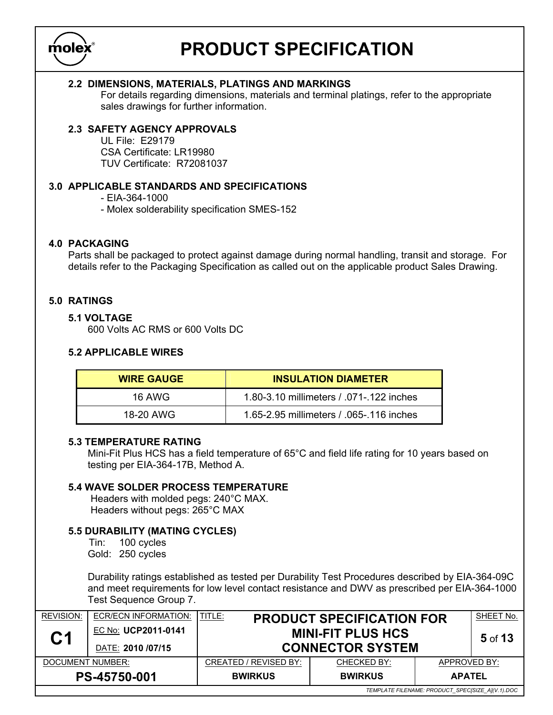

#### 2.2 DIMENSIONS, MATERIALS, PLATINGS AND MARKINGS

For details regarding dimensions, materials and terminal platings, refer to the appropriate sales drawings for further information.

### 2.3 SAFETY AGENCY APPROVALS

 UL File: E29179 CSA Certificate: LR19980 TUV Certificate: R72081037

#### 3.0 APPLICABLE STANDARDS AND SPECIFICATIONS

- EIA-364-1000
- Molex solderability specification SMES-152

#### 4.0 PACKAGING

Parts shall be packaged to protect against damage during normal handling, transit and storage. For details refer to the Packaging Specification as called out on the applicable product Sales Drawing.

#### 5.0 RATINGS

#### 5.1 VOLTAGE

600 Volts AC RMS or 600 Volts DC

#### 5.2 APPLICABLE WIRES

| <b>WIRE GAUGE</b> | <b>INSULATION DIAMETER</b>               |
|-------------------|------------------------------------------|
| 16 AWG            | 1.80-3.10 millimeters / .071-.122 inches |
| 18-20 AWG         | 1.65-2.95 millimeters / .065-.116 inches |

#### 5.3 TEMPERATURE RATING

Mini-Fit Plus HCS has a field temperature of 65°C and field life rating for 10 years based on testing per EIA-364-17B, Method A.

### 5.4 WAVE SOLDER PROCESS TEMPERATURE

 Headers with molded pegs: 240°C MAX. Headers without pegs: 265°C MAX

### 5.5 DURABILITY (MATING CYCLES)

 Tin: 100 cycles Gold: 250 cycles

 Durability ratings established as tested per Durability Test Procedures described by EIA-364-09C and meet requirements for low level contact resistance and DWV as prescribed per EIA-364-1000 Test Sequence Group 7.

| <b>REVISION:</b> | ECR/ECN INFORMATION:                     | TITLE:<br><b>PRODUCT SPECIFICATION FOR</b>          |                |                                                  | SHEET No. |
|------------------|------------------------------------------|-----------------------------------------------------|----------------|--------------------------------------------------|-----------|
| C <sub>1</sub>   | EC No: UCP2011-0141<br>DATE: 2010 /07/15 | <b>MINI-FIT PLUS HCS</b><br><b>CONNECTOR SYSTEM</b> |                |                                                  | $5$ of 13 |
| DOCUMENT NUMBER: |                                          | CREATED / REVISED BY:                               | CHECKED BY:    | APPROVED BY:                                     |           |
|                  | PS-45750-001                             | <b>BWIRKUS</b>                                      | <b>BWIRKUS</b> | <b>APATEL</b>                                    |           |
|                  |                                          |                                                     |                | TEMPLATE FILENAME: PRODUCT_SPEC[SIZE_A](V.1).DOC |           |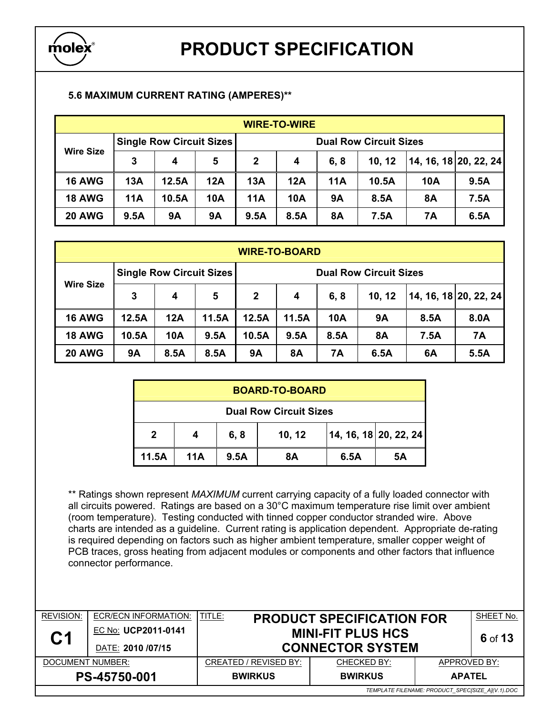

### 5.6 MAXIMUM CURRENT RATING (AMPERES)\*\*

| <b>WIRE-TO-WIRE</b> |      |                                 |     |                               |                  |           |        |     |                       |
|---------------------|------|---------------------------------|-----|-------------------------------|------------------|-----------|--------|-----|-----------------------|
| <b>Wire Size</b>    |      | <b>Single Row Circuit Sizes</b> |     | <b>Dual Row Circuit Sizes</b> |                  |           |        |     |                       |
|                     | 3    | 4                               | 5   | $\mathbf{2}$                  | $\boldsymbol{4}$ | 6, 8      | 10, 12 |     | 14, 16, 18 20, 22, 24 |
| <b>16 AWG</b>       | 13A  | 12.5A                           | 12A | 13A                           | 12A              | 11A       | 10.5A  | 10A | 9.5A                  |
| <b>18 AWG</b>       | 11A  | 10.5A                           | 10A | 11A                           | 10A              | <b>9A</b> | 8.5A   | 8Α  | 7.5A                  |
| <b>20 AWG</b>       | 9.5A | <b>9A</b>                       | 9Α  | 9.5A                          | 8.5A             | <b>8A</b> | 7.5A   | 7Α  | 6.5A                  |

| <b>WIRE-TO-BOARD</b>       |           |      |                                 |                               |           |            |           |                       |      |
|----------------------------|-----------|------|---------------------------------|-------------------------------|-----------|------------|-----------|-----------------------|------|
|                            |           |      | <b>Single Row Circuit Sizes</b> | <b>Dual Row Circuit Sizes</b> |           |            |           |                       |      |
| <b>Wire Size</b><br>3<br>4 |           | 5    | $\mathbf{2}$                    | 4                             | 6, 8      | 10, 12     |           | 14, 16, 18 20, 22, 24 |      |
| <b>16 AWG</b>              | 12.5A     | 12A  | 11.5A                           | 12.5A                         | 11.5A     | <b>10A</b> | 9Α        | 8.5A                  | 8.0A |
| <b>18 AWG</b>              | 10.5A     | 10A  | 9.5A                            | 10.5A                         | 9.5A      | 8.5A       | <b>8A</b> | 7.5A                  | 7A   |
| <b>20 AWG</b>              | <b>9A</b> | 8.5A | 8.5A                            | <b>9A</b>                     | <b>8A</b> | 7Α         | 6.5A      | 6A                    | 5.5A |

| <b>BOARD-TO-BOARD</b>         |                                           |  |  |  |  |  |
|-------------------------------|-------------------------------------------|--|--|--|--|--|
| <b>Dual Row Circuit Sizes</b> |                                           |  |  |  |  |  |
| 2                             | 14, 16, 18   20, 22, 24<br>10, 12<br>6, 8 |  |  |  |  |  |
| 11.5A                         | 11A<br>5Α<br>6.5A<br>8Α<br>9.5A           |  |  |  |  |  |

\*\* Ratings shown represent MAXIMUM current carrying capacity of a fully loaded connector with all circuits powered. Ratings are based on a 30°C maximum temperature rise limit over ambient (room temperature). Testing conducted with tinned copper conductor stranded wire. Above charts are intended as a guideline. Current rating is application dependent. Appropriate de-rating is required depending on factors such as higher ambient temperature, smaller copper weight of PCB traces, gross heating from adjacent modules or components and other factors that influence connector performance.

| <b>REVISION:</b> | ECR/ECN INFORMATION: | TITLE:                | <b>PRODUCT SPECIFICATION FOR</b>    |                                                  | SHEET No. |  |  |  |
|------------------|----------------------|-----------------------|-------------------------------------|--------------------------------------------------|-----------|--|--|--|
|                  | EC No: UCP2011-0141  |                       | <b>MINI-FIT PLUS HCS</b><br>6 of 13 |                                                  |           |  |  |  |
| C <sub>1</sub>   | DATE: 2010 /07/15    |                       | <b>CONNECTOR SYSTEM</b>             |                                                  |           |  |  |  |
| DOCUMENT NUMBER: |                      | CREATED / REVISED BY: | <b>CHECKED BY:</b>                  | APPROVED BY:                                     |           |  |  |  |
|                  | PS-45750-001         | <b>BWIRKUS</b>        | <b>BWIRKUS</b>                      | <b>APATEL</b>                                    |           |  |  |  |
|                  |                      |                       |                                     | TEMPLATE FILENAME: PRODUCT_SPEC[SIZE_A](V.1).DOC |           |  |  |  |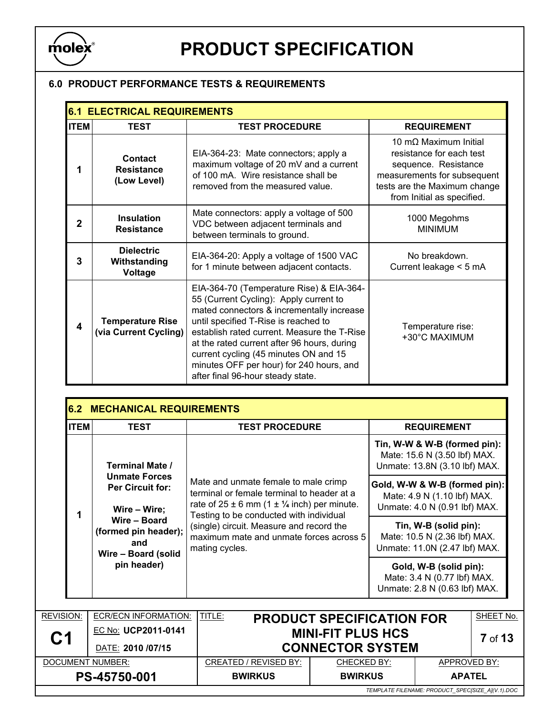

#### 6.0 PRODUCT PERFORMANCE TESTS & REQUIREMENTS

|             | <b>6.1 ELECTRICAL REQUIREMENTS</b>               |                                                                                                                                                                                                                                                                                                                                                                                                 |                                                                                                                                                                        |  |  |  |  |  |  |
|-------------|--------------------------------------------------|-------------------------------------------------------------------------------------------------------------------------------------------------------------------------------------------------------------------------------------------------------------------------------------------------------------------------------------------------------------------------------------------------|------------------------------------------------------------------------------------------------------------------------------------------------------------------------|--|--|--|--|--|--|
| <b>ITEM</b> | <b>TEST</b>                                      | <b>TEST PROCEDURE</b>                                                                                                                                                                                                                                                                                                                                                                           | <b>REQUIREMENT</b>                                                                                                                                                     |  |  |  |  |  |  |
| 1           | Contact<br><b>Resistance</b><br>(Low Level)      | EIA-364-23: Mate connectors; apply a<br>maximum voltage of 20 mV and a current<br>of 100 mA. Wire resistance shall be<br>removed from the measured value.                                                                                                                                                                                                                                       | 10 mO Maximum Initial<br>resistance for each test<br>sequence. Resistance<br>measurements for subsequent<br>tests are the Maximum change<br>from Initial as specified. |  |  |  |  |  |  |
| $\mathbf 2$ | <b>Insulation</b><br><b>Resistance</b>           | Mate connectors: apply a voltage of 500<br>VDC between adjacent terminals and<br>between terminals to ground.                                                                                                                                                                                                                                                                                   | 1000 Megohms<br><b>MINIMUM</b>                                                                                                                                         |  |  |  |  |  |  |
| 3           | <b>Dielectric</b><br>Withstanding<br>Voltage     | EIA-364-20: Apply a voltage of 1500 VAC<br>for 1 minute between adjacent contacts.                                                                                                                                                                                                                                                                                                              | No breakdown.<br>Current leakage < 5 mA                                                                                                                                |  |  |  |  |  |  |
| 4           | <b>Temperature Rise</b><br>(via Current Cycling) | EIA-364-70 (Temperature Rise) & EIA-364-<br>55 (Current Cycling): Apply current to<br>mated connectors & incrementally increase<br>until specified T-Rise is reached to<br>establish rated current. Measure the T-Rise<br>at the rated current after 96 hours, during<br>current cycling (45 minutes ON and 15<br>minutes OFF per hour) for 240 hours, and<br>after final 96-hour steady state. | Temperature rise:<br>+30°C MAXIMUM                                                                                                                                     |  |  |  |  |  |  |

|                           |                                                                                                                                       |                                                                                                       |                                                                                                                                                                                                                                             |                                                                                        | <b>REQUIREMENT</b>                                                                            |                |
|---------------------------|---------------------------------------------------------------------------------------------------------------------------------------|-------------------------------------------------------------------------------------------------------|---------------------------------------------------------------------------------------------------------------------------------------------------------------------------------------------------------------------------------------------|----------------------------------------------------------------------------------------|-----------------------------------------------------------------------------------------------|----------------|
|                           | <b>Terminal Mate /</b>                                                                                                                |                                                                                                       |                                                                                                                                                                                                                                             |                                                                                        | Tin, W-W & W-B (formed pin):<br>Mate: 15.6 N (3.50 lbf) MAX.<br>Unmate: 13.8N (3.10 lbf) MAX. |                |
| 1                         | <b>Unmate Forces</b><br><b>Per Circuit for:</b><br>Wire - Wire;<br>Wire - Board<br>(formed pin header);<br>and<br>Wire - Board (solid | Testing to be conducted with individual                                                               | Mate and unmate female to male crimp<br>Gold, W-W & W-B (formed pin):<br>terminal or female terminal to header at a<br>Mate: 4.9 N (1.10 lbf) MAX.<br>rate of $25 \pm 6$ mm (1 $\pm$ 1/4 inch) per minute.<br>Unmate: 4.0 N (0.91 lbf) MAX. |                                                                                        |                                                                                               |                |
|                           |                                                                                                                                       | (single) circuit. Measure and record the<br>maximum mate and unmate forces across 5<br>mating cycles. |                                                                                                                                                                                                                                             | Tin, W-B (solid pin):<br>Mate: 10.5 N (2.36 lbf) MAX.<br>Unmate: 11.0N (2.47 lbf) MAX. |                                                                                               |                |
|                           | pin header)                                                                                                                           |                                                                                                       |                                                                                                                                                                                                                                             |                                                                                        | Gold, W-B (solid pin):<br>Mate: 3.4 N (0.77 lbf) MAX.<br>Unmate: 2.8 N (0.63 lbf) MAX.        |                |
| <b>REVISION:</b>          | <b>ECR/ECN INFORMATION:</b>                                                                                                           | TITLE:<br><b>PRODUCT SPECIFICATION FOR</b>                                                            |                                                                                                                                                                                                                                             |                                                                                        |                                                                                               | SHEET No.      |
| EC No: UCP2011-0141<br>C1 |                                                                                                                                       |                                                                                                       | <b>MINI-FIT PLUS HCS</b>                                                                                                                                                                                                                    |                                                                                        |                                                                                               | <b>7</b> of 13 |
|                           | DATE: 2010 /07/15                                                                                                                     |                                                                                                       | <b>CONNECTOR SYSTEM</b>                                                                                                                                                                                                                     |                                                                                        |                                                                                               |                |

PS-45750-001 BWIRKUS BWIRKUS | APATEL

TEMPLATE FILENAME: PRODUCT\_SPEC[SIZE\_A](V.1).DOC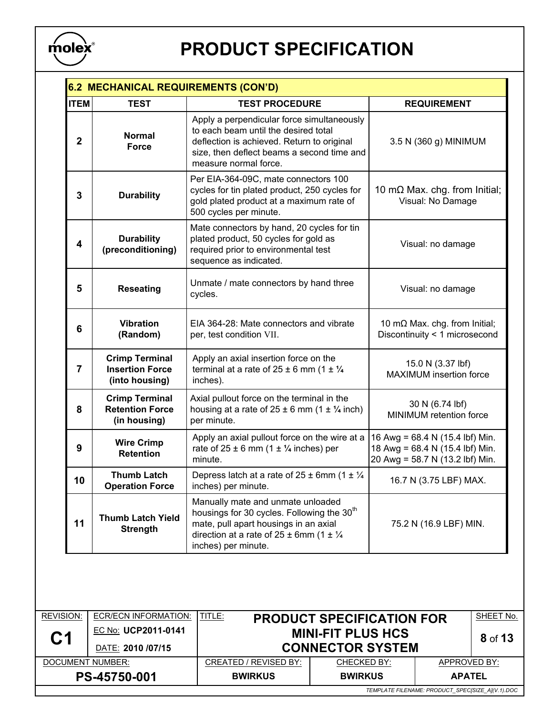

|                | 6.2 MECHANICAL REQUIREMENTS (CON'D)                               |                                                                                                                                                                                                                          |                                                                                                       |  |  |  |  |
|----------------|-------------------------------------------------------------------|--------------------------------------------------------------------------------------------------------------------------------------------------------------------------------------------------------------------------|-------------------------------------------------------------------------------------------------------|--|--|--|--|
| <b>ITEM</b>    | <b>TEST</b>                                                       | <b>TEST PROCEDURE</b>                                                                                                                                                                                                    | <b>REQUIREMENT</b>                                                                                    |  |  |  |  |
| $\overline{2}$ | <b>Normal</b><br><b>Force</b>                                     | Apply a perpendicular force simultaneously<br>to each beam until the desired total<br>deflection is achieved. Return to original<br>size, then deflect beams a second time and<br>measure normal force.                  | 3.5 N (360 g) MINIMUM                                                                                 |  |  |  |  |
| 3              | <b>Durability</b>                                                 | Per EIA-364-09C, mate connectors 100<br>cycles for tin plated product, 250 cycles for<br>gold plated product at a maximum rate of<br>500 cycles per minute.                                                              | 10 m $\Omega$ Max. chg. from Initial;<br>Visual: No Damage                                            |  |  |  |  |
| 4              | <b>Durability</b><br>(preconditioning)                            | Mate connectors by hand, 20 cycles for tin<br>plated product, 50 cycles for gold as<br>required prior to environmental test<br>sequence as indicated.                                                                    | Visual: no damage                                                                                     |  |  |  |  |
| 5              | <b>Reseating</b>                                                  | Unmate / mate connectors by hand three<br>cycles.                                                                                                                                                                        | Visual: no damage                                                                                     |  |  |  |  |
| 6              | <b>Vibration</b><br>(Random)                                      | EIA 364-28: Mate connectors and vibrate<br>per, test condition VII.                                                                                                                                                      | 10 m $\Omega$ Max. chg. from Initial;<br>Discontinuity < 1 microsecond                                |  |  |  |  |
| 7              | <b>Crimp Terminal</b><br><b>Insertion Force</b><br>(into housing) | Apply an axial insertion force on the<br>terminal at a rate of $25 \pm 6$ mm (1 $\pm$ 1/4<br>inches).                                                                                                                    | 15.0 N (3.37 lbf)<br>MAXIMUM insertion force                                                          |  |  |  |  |
| 8              | <b>Crimp Terminal</b><br><b>Retention Force</b><br>(in housing)   | Axial pullout force on the terminal in the<br>housing at a rate of $25 \pm 6$ mm (1 $\pm$ 1/4 inch)<br>per minute.                                                                                                       | 30 N (6.74 lbf)<br>MINIMUM retention force                                                            |  |  |  |  |
| 9              | <b>Wire Crimp</b><br><b>Retention</b>                             | Apply an axial pullout force on the wire at a<br>rate of $25 \pm 6$ mm (1 $\pm$ 1/4 inches) per<br>minute.                                                                                                               | 16 Awg = 68.4 N (15.4 lbf) Min.<br>18 Awg = 68.4 N (15.4 lbf) Min.<br>20 Awg = 58.7 N (13.2 lbf) Min. |  |  |  |  |
| 10             | <b>Thumb Latch</b><br><b>Operation Force</b>                      | Depress latch at a rate of $25 \pm 6$ mm (1 $\pm \frac{1}{4}$<br>inches) per minute.                                                                                                                                     | 16.7 N (3.75 LBF) MAX.                                                                                |  |  |  |  |
| 11             | <b>Thumb Latch Yield</b><br><b>Strength</b>                       | Manually mate and unmate unloaded<br>housings for 30 cycles. Following the 30 <sup>th</sup><br>mate, pull apart housings in an axial<br>direction at a rate of $25 \pm 6$ mm (1 $\pm \frac{1}{4}$<br>inches) per minute. | 75.2 N (16.9 LBF) MIN.                                                                                |  |  |  |  |

| <b>REVISION:</b>                                 | ECR/ECN INFORMATION: | TITLE:                                                       |                    |               | SHEET No. |
|--------------------------------------------------|----------------------|--------------------------------------------------------------|--------------------|---------------|-----------|
|                                                  |                      | <b>PRODUCT SPECIFICATION FOR</b><br><b>MINI-FIT PLUS HCS</b> |                    |               |           |
| C <sub>1</sub>                                   | EC No: UCP2011-0141  |                                                              |                    | 8 of 13       |           |
|                                                  | DATE: 2010 /07/15    | <b>CONNECTOR SYSTEM</b>                                      |                    |               |           |
| DOCUMENT NUMBER:                                 |                      | <b>CREATED / REVISED BY:</b>                                 | <b>CHECKED BY:</b> | APPROVED BY:  |           |
| PS-45750-001                                     |                      | <b>BWIRKUS</b>                                               | <b>BWIRKUS</b>     | <b>APATEL</b> |           |
| TEMPLATE FILENAME: PRODUCT SPECISIZE AI(V.1).DOC |                      |                                                              |                    |               |           |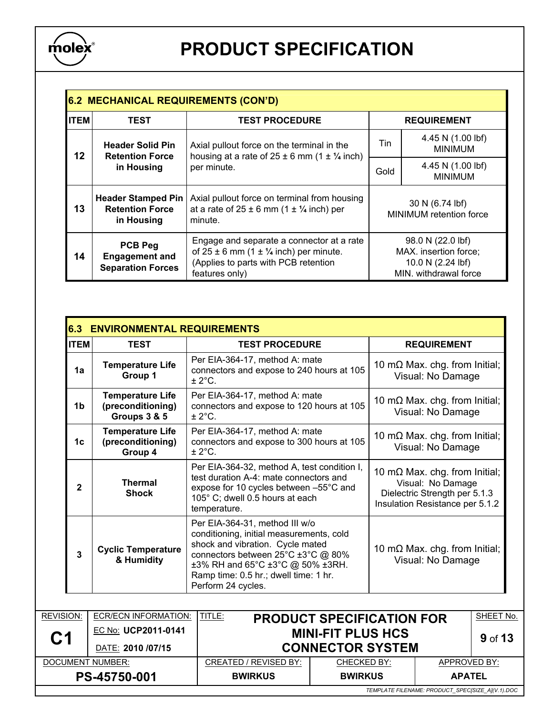

| <b>6.2 MECHANICAL REQUIREMENTS (CON'D)</b> |                                                                     |                                                                                                                                                        |                                            |                                                                                          |  |  |
|--------------------------------------------|---------------------------------------------------------------------|--------------------------------------------------------------------------------------------------------------------------------------------------------|--------------------------------------------|------------------------------------------------------------------------------------------|--|--|
| <b>ITEM</b>                                | <b>TEST</b>                                                         | <b>TEST PROCEDURE</b>                                                                                                                                  | <b>REQUIREMENT</b>                         |                                                                                          |  |  |
| 12                                         | <b>Header Solid Pin</b><br><b>Retention Force</b><br>in Housing     | Axial pullout force on the terminal in the<br>housing at a rate of $25 \pm 6$ mm (1 $\pm$ 1/4 inch)<br>per minute.                                     | Tin                                        | 4.45 N (1.00 lbf)<br><b>MINIMUM</b>                                                      |  |  |
|                                            |                                                                     |                                                                                                                                                        | Gold                                       | 4.45 N (1.00 lbf)<br><b>MINIMUM</b>                                                      |  |  |
| 13                                         | <b>Header Stamped Pin</b><br><b>Retention Force</b><br>in Housing   | Axial pullout force on terminal from housing<br>at a rate of $25 \pm 6$ mm (1 $\pm$ 1/4 inch) per<br>minute.                                           | 30 N (6.74 lbf)<br>MINIMUM retention force |                                                                                          |  |  |
| 14                                         | <b>PCB Peg</b><br><b>Engagement and</b><br><b>Separation Forces</b> | Engage and separate a connector at a rate<br>of $25 \pm 6$ mm (1 $\pm$ 1/4 inch) per minute.<br>(Applies to parts with PCB retention<br>features only) |                                            | 98.0 N (22.0 lbf)<br>MAX. insertion force;<br>10.0 N (2.24 lbf)<br>MIN. withdrawal force |  |  |

| <b>ITEM</b>               | <b>TEST</b>                                                  | <b>TEST PROCEDURE</b>                                                                                                                                                                                                                                   |                         | <b>REQUIREMENT</b>                                                                                                             |           |  |
|---------------------------|--------------------------------------------------------------|---------------------------------------------------------------------------------------------------------------------------------------------------------------------------------------------------------------------------------------------------------|-------------------------|--------------------------------------------------------------------------------------------------------------------------------|-----------|--|
| 1a                        | <b>Temperature Life</b><br>Group 1                           | Per EIA-364-17, method A: mate<br>connectors and expose to 240 hours at 105<br>$± 2^{\circ}$ C.                                                                                                                                                         |                         | 10 m $\Omega$ Max. chg. from Initial;<br>Visual: No Damage                                                                     |           |  |
| 1 <sub>b</sub>            | <b>Temperature Life</b><br>(preconditioning)<br>Groups 3 & 5 | Per EIA-364-17, method A: mate<br>connectors and expose to 120 hours at 105<br>$± 2^{\circ}$ C.                                                                                                                                                         |                         | 10 m $\Omega$ Max. chg. from Initial;<br>Visual: No Damage                                                                     |           |  |
| 1 <sub>c</sub>            | <b>Temperature Life</b><br>(preconditioning)<br>Group 4      | Per EIA-364-17, method A: mate<br>connectors and expose to 300 hours at 105<br>± 2°C.                                                                                                                                                                   |                         | 10 m $\Omega$ Max. chg. from Initial;<br>Visual: No Damage                                                                     |           |  |
| $\mathbf{2}$              | <b>Thermal</b><br><b>Shock</b>                               | Per EIA-364-32, method A, test condition I,<br>test duration A-4: mate connectors and<br>expose for 10 cycles between -55°C and<br>105° C; dwell 0.5 hours at each<br>temperature.                                                                      |                         | 10 m $\Omega$ Max. chg. from Initial;<br>Visual: No Damage<br>Dielectric Strength per 5.1.3<br>Insulation Resistance per 5.1.2 |           |  |
| $\overline{3}$            | <b>Cyclic Temperature</b><br>& Humidity                      | Per EIA-364-31, method III w/o<br>conditioning, initial measurements, cold<br>shock and vibration. Cycle mated<br>connectors between 25°C ±3°C @ 80%<br>±3% RH and 65°C ±3°C @ 50% ±3RH.<br>Ramp time: 0.5 hr.; dwell time: 1 hr.<br>Perform 24 cycles. |                         | 10 m $\Omega$ Max. chg. from Initial;<br>Visual: No Damage                                                                     |           |  |
|                           |                                                              |                                                                                                                                                                                                                                                         |                         |                                                                                                                                |           |  |
| REVISION:                 | <b>ECR/ECN INFORMATION:</b>                                  | TITLE:<br><b>PRODUCT SPECIFICATION FOR</b>                                                                                                                                                                                                              |                         |                                                                                                                                | SHEET No. |  |
| EC No: UCP2011-0141<br>C1 |                                                              | <b>MINI-FIT PLUS HCS</b>                                                                                                                                                                                                                                |                         |                                                                                                                                | 9 of 13   |  |
|                           | DATE: 2010 /07/15                                            |                                                                                                                                                                                                                                                         | <b>CONNECTOR SYSTEM</b> |                                                                                                                                |           |  |

PS-45750-001 | BWIRKUS | BWIRKUS | APATEL

TEMPLATE FILENAME: PRODUCT\_SPEC[SIZE\_A](V.1).DOC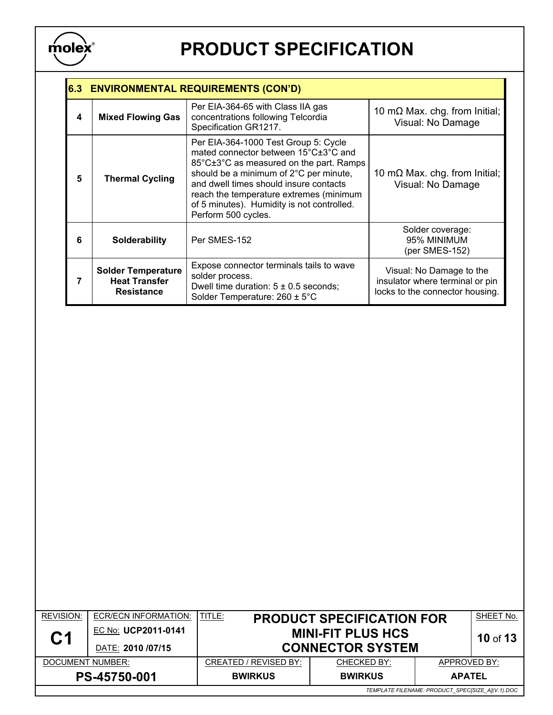

|   | 6.3 ENVIRONMENTAL REQUIREMENTS (CON'D)                                 |                                                                                                                                                                                                                                                                                                                             |                                                                                                |  |  |  |
|---|------------------------------------------------------------------------|-----------------------------------------------------------------------------------------------------------------------------------------------------------------------------------------------------------------------------------------------------------------------------------------------------------------------------|------------------------------------------------------------------------------------------------|--|--|--|
| 4 | <b>Mixed Flowing Gas</b>                                               | Per EIA-364-65 with Class IIA gas<br>concentrations following Telcordia<br>Specification GR1217.                                                                                                                                                                                                                            | 10 m $\Omega$ Max. chg. from Initial;<br>Visual: No Damage                                     |  |  |  |
| 5 | <b>Thermal Cycling</b>                                                 | Per EIA-364-1000 Test Group 5: Cycle<br>mated connector between 15°C±3°C and<br>85°C±3°C as measured on the part. Ramps<br>should be a minimum of 2°C per minute,<br>and dwell times should insure contacts<br>reach the temperature extremes (minimum<br>of 5 minutes). Humidity is not controlled.<br>Perform 500 cycles. | 10 m $\Omega$ Max. chg. from Initial;<br>Visual: No Damage                                     |  |  |  |
| 6 | <b>Solderability</b>                                                   | Per SMES-152                                                                                                                                                                                                                                                                                                                | Solder coverage:<br>95% MINIMUM<br>(per SMES-152)                                              |  |  |  |
| 7 | <b>Solder Temperature</b><br><b>Heat Transfer</b><br><b>Resistance</b> | Expose connector terminals tails to wave<br>solder process.<br>Dwell time duration: $5 \pm 0.5$ seconds;<br>Solder Temperature: 260 ± 5°C                                                                                                                                                                                   | Visual: No Damage to the<br>insulator where terminal or pin<br>locks to the connector housing. |  |  |  |

| <b>REVISION:</b>                                 | ECR/ECN INFORMATION: | <b>ITITLE:</b><br><b>PRODUCT SPECIFICATION FOR</b> |                | SHEET No.     |  |
|--------------------------------------------------|----------------------|----------------------------------------------------|----------------|---------------|--|
| <b>C1</b>                                        | EC No: UCP2011-0141  | <b>MINI-FIT PLUS HCS</b>                           |                | 10 of 13      |  |
|                                                  | DATE: 2010 /07/15    | <b>CONNECTOR SYSTEM</b>                            |                |               |  |
| DOCUMENT NUMBER:                                 |                      | CREATED / REVISED BY:                              | CHECKED BY:    | APPROVED BY:  |  |
| PS-45750-001                                     |                      | <b>BWIRKUS</b>                                     | <b>BWIRKUS</b> | <b>APATEL</b> |  |
| TEMPLATE FILENAME: PRODUCT_SPEC[SIZE_A](V.1).DOC |                      |                                                    |                |               |  |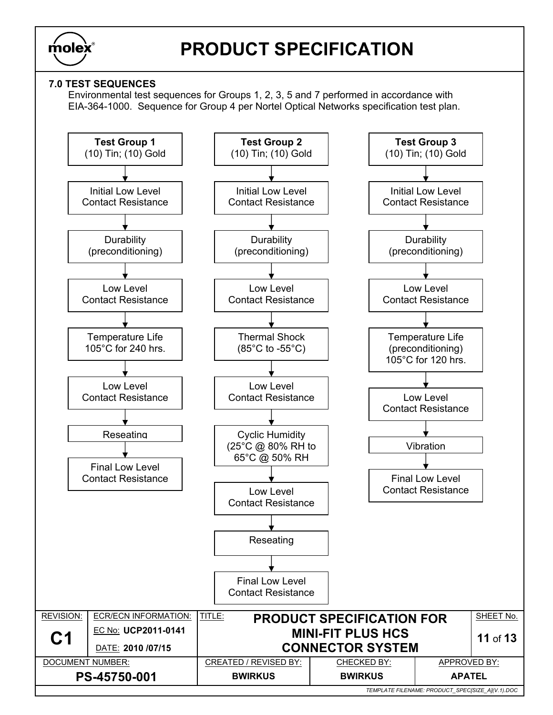

### 7.0 TEST SEQUENCES

Environmental test sequences for Groups 1, 2, 3, 5 and 7 performed in accordance with EIA-364-1000. Sequence for Group 4 per Nortel Optical Networks specification test plan.

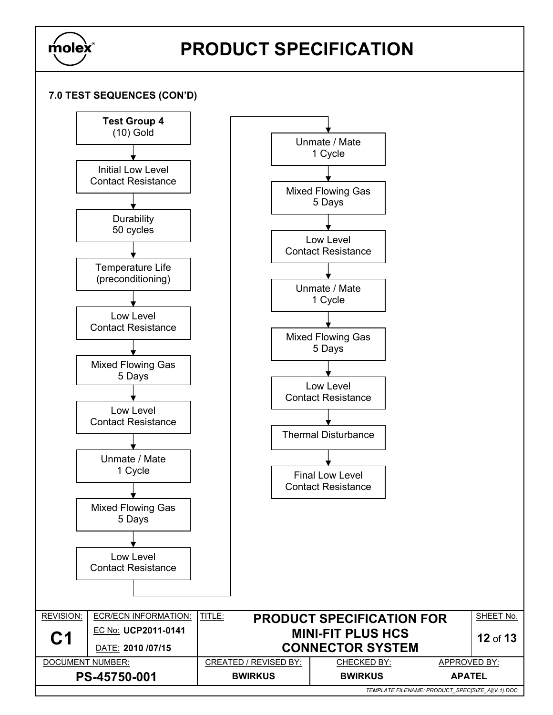

### 7.0 TEST SEQUENCES (CON'D)